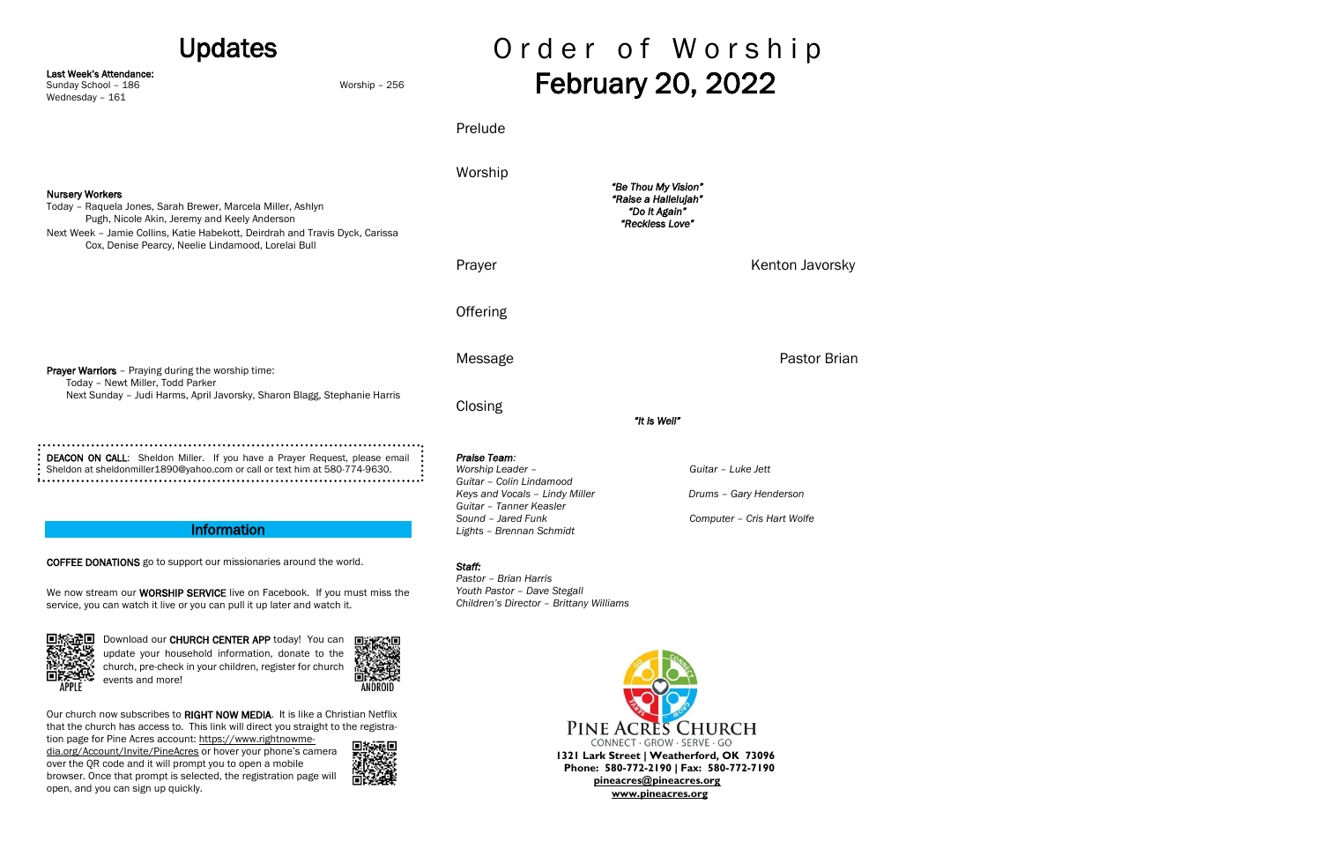## Updates

Last Week's Attendance:

Wednesday – 161

Sunday School – 186 Worship – 256

# Order of Worship February 20, 2022

| <b>Nursery Workers</b><br>Today - Raquela Jones, Sarah Brewer, Marcela Miller, Ashlyn<br>Pugh, Nicole Akin, Jeremy and Keely Anderson<br>Next Week - Jamie Collins, Katie Habekott, Deirdrah and Travis Dyck, Carissa<br>Cox, Denise Pearcy, Neelie Lindamood, Lorelai Bull                                                                                                                                                                                                                     | Worship<br>"Be Thou My Vision"<br>"Raise a Hallelujah"<br>"Do It Again"<br>"Reckless Love"                                                      |                                                                            |
|-------------------------------------------------------------------------------------------------------------------------------------------------------------------------------------------------------------------------------------------------------------------------------------------------------------------------------------------------------------------------------------------------------------------------------------------------------------------------------------------------|-------------------------------------------------------------------------------------------------------------------------------------------------|----------------------------------------------------------------------------|
|                                                                                                                                                                                                                                                                                                                                                                                                                                                                                                 | Prayer                                                                                                                                          | Kenton Javorsky                                                            |
|                                                                                                                                                                                                                                                                                                                                                                                                                                                                                                 | Offering                                                                                                                                        |                                                                            |
| <b>Prayer Warriors</b> - Praying during the worship time:<br>Today - Newt Miller, Todd Parker<br>Next Sunday - Judi Harms, April Javorsky, Sharon Blagg, Stephanie Harris                                                                                                                                                                                                                                                                                                                       | Message                                                                                                                                         | <b>Pastor Brian</b>                                                        |
|                                                                                                                                                                                                                                                                                                                                                                                                                                                                                                 | Closing                                                                                                                                         | "It is Well"                                                               |
| DEACON ON CALL: Sheldon Miller. If you have a Prayer Request, please email<br>Sheldon at sheldonmiller1890@yahoo.com or call or text him at 580-774-9630.                                                                                                                                                                                                                                                                                                                                       | Praise Team:<br>Worship Leader -<br>Guitar - Colin Lindamood<br>Keys and Vocals - Lindy Miller<br>Guitar - Tanner Keasler<br>Sound - Jared Funk | Guitar - Luke Jett<br>Drums - Gary Henderson<br>Computer - Cris Hart Wolfe |
| <b>Information</b><br><b>COFFEE DONATIONS</b> go to support our missionaries around the world.<br>We now stream our WORSHIP SERVICE live on Facebook. If you must miss the<br>service, you can watch it live or you can pull it up later and watch it.                                                                                                                                                                                                                                          | Lights - Brennan Schmidt<br>Staff:<br>Pastor - Brian Harris<br>Youth Pastor - Dave Stegall<br>Children's Director - Brittany Williams           |                                                                            |
| Download our CHURCH CENTER APP today! You can<br>update your household information, donate to the<br>church, pre-check in your children, register for church<br>events and more!<br>ANDROID<br>Our church now subscribes to RIGHT NOW MEDIA. It is like a Christian Netflix<br>that the church has access to. This link will direct you straight to the registra-<br>tion page for Pine Acres account: https://www.rightnowme-<br>dia.org/Account/Invite/PineAcres or hover your phone's camera |                                                                                                                                                 | PINE ACRES CHURCH<br>CONNECT · GROW · SERVE · GO                           |
| over the QR code and it will prompt you to open a mobile<br>browser. Once that prompt is selected, the registration page will                                                                                                                                                                                                                                                                                                                                                                   | 1321 Lark Street   Weatherford, OK 73096<br>Phone: 580-772-2190   Fax: 580-772-7190<br>pineacres@pineacres.org                                  |                                                                            |

open, and you can sign up quickly.

Prelude

 **[pineacres@pineacres.org](mailto:pineacres@pineacres.org)**

 **[www.pineacres.org](http://www.pineacres.org/)**